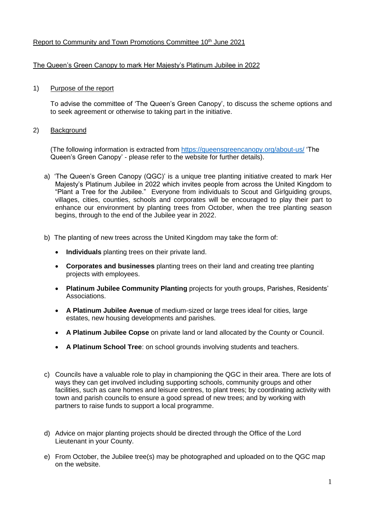# Report to Community and Town Promotions Committee 10<sup>th</sup> June 2021

### The Queen's Green Canopy to mark Her Majesty's Platinum Jubilee in 2022

### 1) Purpose of the report

To advise the committee of 'The Queen's Green Canopy', to discuss the scheme options and to seek agreement or otherwise to taking part in the initiative.

#### 2) Background

(The following information is extracted from<https://queensgreencanopy.org/about-us/> 'The Queen's Green Canopy' - please refer to the website for further details).

- a) 'The Queen's Green Canopy (QGC)' is a unique tree planting initiative created to mark Her Majesty's Platinum Jubilee in 2022 which invites people from across the United Kingdom to "Plant a Tree for the Jubilee." Everyone from individuals to Scout and Girlguiding groups, villages, cities, counties, schools and corporates will be encouraged to play their part to enhance our environment by planting trees from October, when the tree planting season begins, through to the end of the Jubilee year in 2022.
- b) The planting of new trees across the United Kingdom may take the form of:
	- **Individuals** planting trees on their private land.
	- **Corporates and businesses** planting trees on their land and creating tree planting projects with employees.
	- **Platinum Jubilee Community Planting** projects for youth groups, Parishes, Residents' Associations.
	- **A Platinum Jubilee Avenue** of medium-sized or large trees ideal for cities, large estates, new housing developments and parishes.
	- **A Platinum Jubilee Copse** on private land or land allocated by the County or Council.
	- **A Platinum School Tree**: on school grounds involving students and teachers.
- c) Councils have a valuable role to play in championing the QGC in their area. There are lots of ways they can get involved including supporting schools, community groups and other facilities, such as care homes and leisure centres, to plant trees; by coordinating activity with town and parish councils to ensure a good spread of new trees; and by working with partners to raise funds to support a local programme.
- d) Advice on major planting projects should be directed through the Office of the Lord Lieutenant in your County.
- e) From October, the Jubilee tree(s) may be photographed and uploaded on to the QGC map on the website.